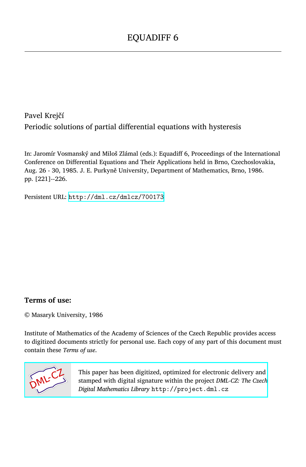Pavel Krejčí Periodic solutions of partial differential equations with hysteresis

In: Jaromír Vosmanský and Miloš Zlámal (eds.): Equadiff 6, Proceedings of the International Conference on Differential Equations and Their Applications held in Brno, Czechoslovakia, Aug. 26 - 30, 1985. J. E. Purkyně University, Department of Mathematics, Brno, 1986. pp. [221]--226.

Persistent URL: <http://dml.cz/dmlcz/700173>

# **Terms of use:**

© Masaryk University, 1986

Institute of Mathematics of the Academy of Sciences of the Czech Republic provides access to digitized documents strictly for personal use. Each copy of any part of this document must contain these *Terms of use*.



[This paper has been digitized, optimized for electronic delivery and](http://project.dml.cz) stamped with digital signature within the project *DML-CZ: The Czech Digital Mathematics Library* http://project.dml.cz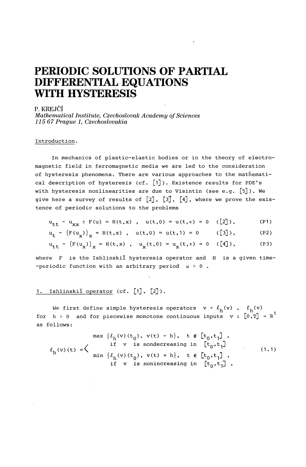# **PERIODIC SOLUTIONS OF PARTIAL DIFFERENTIAL EQUATIONS WITH HYSTERESIS**

#### P. KREJCI

*Mathematical Institute, Czechoslovak Academy of Sciences 115 67 Prague 1, Czechoslovakia* 

#### Introduction.

In mechanics of plastic-elastic bodies or in the theory of electromagnetic field in ferromagnetic media we are led to the consideration of hysteresis phenomena. There are various approaches to the mathematical description of hysteresis (cf.  $[1]$ ). Existence results for PDE's with hysteresis nonlinearities are due to Visintin (see e.g. [5]). We give here a survey of results of  $[2]$ ,  $[3]$ ,  $[4]$ , where we prove the existence of periodic solutions to the problems

$$
u_{++} - u_{xx} \pm F(u) = H(t,x) , \quad u(t,0) = u(t,\pi) = 0 \quad ([2]), \tag{P1}
$$

$$
u_{+} - (F(u_{v}))_{v} = H(t, x) , u(t, 0) = u(t, 1) = 0
$$
 (3), (P2)

$$
u_{++} - (F(u_v))_v = H(t, x), \quad u_v(t, 0) = u_v(t, \pi) = 0 \quad ([4]), \tag{P3}
$$

where F is the Ishlinskil hysteresis operator and H is a given time--periodic function with an arbitrary period  $w > 0$ .

## 1. Ishlinskil operator (cf. [1], [2]).

We first define simple hysteresis operators  $v + \ell_h(v)$ ,  $f_h(v)$ for  $h > 0$  and for piecewise monotone continuous inputs  $v : [0,T] \rightarrow R^1$ as follows:

$$
\ell_{h}(v)(t) = \left\{ \begin{array}{c} \max \left\{ \ell_{h}(v)(t_{0}), v(t) - h \right\}, \quad t \in [t_{0}, t_{1}], \\ \text{if } v \text{ is nondecreasing in } [t_{0}, t_{1}] \\ \min \left\{ \ell_{h}(v)(t_{0}), v(t) + h \right\}, \quad t \in [t_{0}, t_{1}], \\ \text{if } v \text{ is nonincreasing in } [t_{0}, t_{1}], \end{array} \right. \tag{1.1}
$$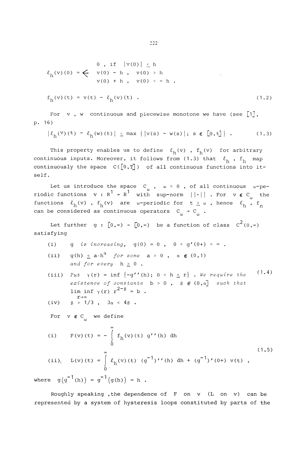$$
\ell_{h}(v) (0) = \begin{cases}\n0, & \text{if } |v(0)| \leq h \\
v(0) - h, & v(0) > h \\
v(0) + h, & v(0) < -h\n\end{cases}
$$
\n
$$
f_{h}(v) (t) = v(t) - \ell_{h}(v) (t) .
$$
\n(1.2)

For  $v$ , w continuous and piecewise monotone we have (see  $[1]$ , p. 16)

$$
\left| \ell_{h}(v)(t) - \ell_{h}(w)(t) \right| \leq \max \left\{ |v(s) - w(s)| ; s \in [0, t] \right\} . \tag{1.3}
$$

This property enables us to define  $\ell_h(v)$ ,  $f_h(v)$  for arbitrary continuous inputs. Moreover, it follows from  $(1.3)$  that  $\ell_h$ ,  $f_h$  map continuously the space  $C([0,T])$  of all continuous functions into itself.

Let us introduce the space  $C_{\omega}$ ,  $\omega > 0$ , of all continuous  $\omega$ -pe-<br>riodic functions  $v : R^1 \rightarrow R^1$  with sup-norm  $||\cdot||$ . For  $v \in C_{\omega}$  the functions  $\ell_h(v)$  ,  $f_h(v)$  are w-periodic for  $t \geq w$ , hence  $\ell_h^{\omega}$ ,  $f_n$  $\frac{1}{1}$   $\frac{1}{1}$   $\frac{1}{1}$   $\frac{1}{1}$   $\frac{1}{1}$   $\frac{1}{1}$ can be considered as continuous operators  $C_{\omega}$  -  $\omega$ 

Let further  $g : [0, \infty) \rightarrow [0, \infty)$  be a function of class  $C^2(0, \infty)$ satisfying

(i) g is increasing,  $g(0) = 0$ ,  $0 < g'(0) + c$  .

- $g(h) \leq a \cdot h^{\alpha}$  for some  $a > 0$ ,  $\alpha \in (0,1)$  $(i)$ *and for every*  $h \geq 0$ .
- (iii) Put  $\gamma(r) = \inf \{-g''(h); 0 < h \le r\}$ . We require the  $ext{exists}$  *existence of constants*  $b > 0$ ,  $\beta \in (0, \alpha]$  *such that*  $\liminf \gamma(r) r^{2-\beta} = b$ .  $r\rightarrow\infty$ (1.4)

$$
(iv) \quad \beta > 1/3 , \quad 3\alpha < 4\beta .
$$

For  $v \in C$  we define

(i) 
$$
F(v)(t) = -\int_{0}^{\infty} f_h(v)(t) g''(h) dh
$$
 (1.5)

(ii), 
$$
L(v)(t) = \int_{0}^{\infty} l_h(v)(t) (g^{-1})''(h) dh + (g^{-1})'(0+) v(t)
$$
,

where  $g(g^{-1}(h)) = g^{-1}(g(h)) = h$ .

Roughly speaking , the dependence of  $F$  on  $v$  (L on  $v$ ) can be represented by a system of hysteresis loops constituted by parts of the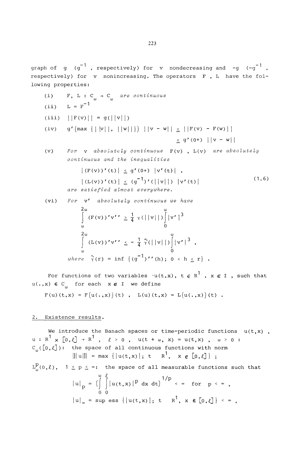graph of  $g$   $(g^{-1}$ , respectively) for v nondecreasing and  $-g$   $(g^{-1}$ , respectively) for y nonincreasing, The operators  $F$ , L have the following properties:

lowing properties: (i) F, L : C -> C *are continuous*  (ii) L = F"<sup>1</sup>

(iii) 
$$
||F(v)|| = g(||v||)
$$

(iv) 
$$
g' \left( max \{ ||v||, ||w|| \} \right) ||v - w|| \le ||F(v) - F(w)||
$$
  
 $\le g' \left( 0^+ \right) ||v - w||$ 

(v) For v absolutely continuous 
$$
F(v)
$$
,  $L(v)$  are absolutely continuous and the inequalities

$$
|\left(\mathbf{F}(\mathbf{v})\right)'(\mathbf{t})| \leq g'(\mathbf{0}+) |\mathbf{v}'(\mathbf{t})| ,
$$
  
 
$$
|\left(\mathbf{L}(\mathbf{v})\right)'(\mathbf{t})| \leq (g^{-1})' (|\left|\mathbf{v}\right|) |\mathbf{v}'(\mathbf{t})|
$$
  
are satisfied almost everywhere. (1.6)

(vi) *For* v' *absolutely continuous we have* 

$$
\int_{\omega}^{2\omega} (F(v))'v' \geq \frac{1}{4} \gamma (||v||)^{\omega} |v'|^{3}
$$
  
\n
$$
\int_{\omega}^{2\omega} (L(v))'v' \leq -\frac{1}{4} \gamma (||v||)^{\omega} |v'|^{3},
$$
  
\nwhere  $\gamma(r) = \inf \{(g^{-1})'(\rho); 0 < h \leq r\}.$ 

For functions of two variables  $\cdot u(t,x)$ ,  $t \in R^1$  ,  $x \in I$  , such that  $u(\cdot,x) \in C_{\omega}$  for each  $x \in I$  we define

$$
F(u) (t, x) = F(u(., x)) (t), L(u) (t, x) = L(u(., x)) (t).
$$

# 2. Existence results.

We introduce the Banach spaces or time-periodic functions  $u(t, x)$ ,  $u: R^{1} \times [0, \ell] \rightarrow R^{1}$ ,  $\ell > 0$ ,  $u(t + \omega, x) = u(t, x)$ ,  $\omega > 0$ :  $C_{\omega}([0,\ell])$ : the space of all continuous functions with norm  $\|\|u\|\|$  = max { $|u(t,x)|$ ; t R<sup>1</sup>, x  $\in$  [0, l]};  $\texttt{L}^\texttt{D}_\omega(0,\ell)$ , 1  $\leq$  p  $\leq$   $\infty$ : the space of all measurable functions such that  $|u|_p = (\int_0^{\omega} |u(t,x)|^p dx dt)$  <sup>1</sup>/P  $\sim$  for p  $\sim \infty$ , 0 0  $|u|_{\infty}$  = sup ess  $\{|u(t,x)|; t \in \mathbb{R}^{1}, x \in [0,\ell]\}\leq \infty$ ,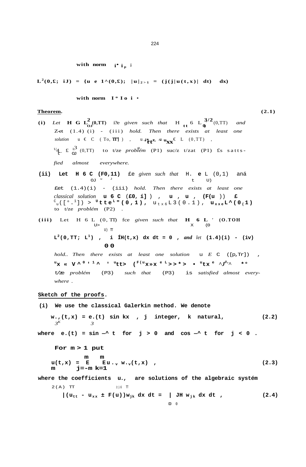#### with norm  $i^*$  i<sub>n</sub>;

$$
L^{2}(0,\pounds; iJ) = \{u e 1^{\wedge}(0,\pounds); |u|_{2>1} = (j(j|u(t,x)) | dt) dx\}
$$

**with norm I** \* **I o i** •

#### **Theorem.** (2.1)

- **2** (**i**) Let **H** G  $L_{OJ}^{2}(0,TT)$  i?e given such that **H** <sub>tt</sub> 6  $L_{0}^{3/2}(0,TT)$  and Z-et (1.4) (i) - (iii ) *hold. Then there exists at least one*   $\mathbf{v}$  *solution* u  $\in$  C (To, **TT'**]), u.  $\mathbf{v}^*$  **t**  $\mathbf{v}$ **x**  $\in$  L (0,TT),  $U_4$  f  $U_3$  (0,TT) to t/ze *problém* (P1) suc/z t/zat (P1) fs satts*fied almost everywhere.*
- **(ii) Let H 6 C (F0,11)** £e *given such that* H. **e** L (0,1) aná OJ  $u$  J t U) £et (1.4)(i) - (iii) *hold. Then there exists at least one classical solution* **u 6 C** (**£0**, **í]** ) , **u** , **u** , **(F(u** )) **£**   $C_{\text{u}}([0,1]) > \text{U}$ tte<sup>L</sup>" (0,1), u<sub>tx6</sub>L3(0.1), u<sub>xxe</sub>L^(0<sub>(</sub>1) to t/ze *problém* (P2) .
- **(iii)** Let H 6 L (0, TI) fce given such that **H** 6 L <sup>'</sup> (0.TOH  $U$ ) TT  $L^2(0, TT; L^1)$ , i  $\text{IH}(t, x) \ dx \ dt = 0$ , and let  $(1.4)(i) - (iv)$ **0 0**

*hold.. Then there exists at least one solution* u *E* C ([p,Tr]) ,  $u_{\mathbf{X}} \ll \nabla^{\wedge 0}$  **'** <sup>1</sup> \ **'**  $u_{\mathbf{L}}$  **'**  $\mathbf{L}$  ( $\mathbf{F}^{(u_{\mathbf{X}} \gg \mathbf{X}} \circ \mathbf{F}^{(u_{\mathbf{X}} \gg \mathbf{X}}) \circ \mathbf{F}^{(u_{\mathbf{L}} \gg \mathbf{F}^{(u_{\mathbf{X}} \gg \mathbf{F}^{(u_{\mathbf{X}} \gg \mathbf{F}^{(u_{\mathbf{X}} \gg \mathbf{F}^{(u_{\mathbf{X}} \gg \mathbf{F}^{(u_{\mathbf{$ t/ze *problém* (P3) *such that* (P3) is *satisfied almost everywhere .* 

## **Sketch of the proofs.**

**(i) We use the classical Galerkin method. We denote**   $w_{\bullet}$ ,  $(t,x) = e$ .  $(t)$  sin kx, j integer, k natural,  $(2.2)$ *3 K 3*  where  $e.(t) = \sin^{-1} t$  for  $j > 0$  and  $\cos^{-1} t$  for  $j < 0$ . **For m > 1 put m m**   $u(t,x) = E E u \cdot v w \cdot v(t,x)$ , (2.3) **m j=-m k=1 where the coefficients u., are solutions of the algebraic systém**   $2(A)$  TT  $2(J$   $\theta$  T  $|(u_{tt} - u_{xx} \pm F(u))w_{ik} dx dt = |JH w_{ik} dx dt ,$  (2.4)

 $\infty$  0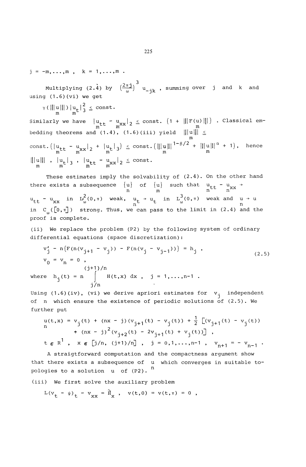$j = -m, \ldots, m, \quad k = 1, \ldots, m$ .

 $2 \pi i \gamma$ "-jk  $2\pi j$  $\frac{M_{\text{max}}}{M_{\text{max}}}$  (2.4) by  $\frac{M_{\text{max}}}{M_{\text{max}}}$  , summing over j using (1.6)(vi) we get

 $\gamma$ (|||u|||)|u<sub>+</sub>| $\frac{2}{3}$   $\leq$  const.  $m$   $m<sup>2</sup>$ 

m m m m

Similarly we have  $\|{\bf u}_{\sf t\tt t}-{\bf u}_{\sf xx}\|_2\leq {\tt const.}$  (1 +  $\||{\bf F}({\bf u})\||$ ) . Classical em  $\begin{array}{c} m & m \ (1, 4) & (1, 6) (333) & m \end{array}$ bedding theorems and (1.4), (1.0) (iii) yield  $\lim_{m \to \infty}$ m const.( $\left|\begin{matrix}u_{tt} & -u_{xx} & 2 & +u_{tt} \end{matrix}\right|_2$  +  $\left|\begin{matrix}u_{tt} & 3\end{matrix}\right| \le \text{const.}$  ( $\left|\begin{matrix}u_{tt} & -\mu & -\mu \\ u_{tt} & m\end{matrix}\right|$  + 1), nence  $\| \|u\| \|$  ,  $\|u_{\epsilon}\|_{3}$  ,  $\|u_{\epsilon\epsilon} - u_{xx}\|_{2} \leq \mathtt{const.}$ 

These estimates imply the solvability of  $(2.4)$ . On the other hand there exists a subsequence {u} of {u} such that u - u -> n m n n 2 3 u\_\_ - u in I/> (0,-) weak, u, -> u^ in L (0,TT) weak and u -»- u tt X X 0) t t U) n n in  $C_{n}([0,\pi])$  strong. Thus, we can pass to the limit in (2.4) and the proof is complete.

(ii) We replace the problem (P2) by the following system of ordinary differential equations (space discretization):

$$
v'_{j} - n(F(n(v_{j+1} - v_{j})) - F(n(v_{j} - v_{j-1}))) = h_{j},
$$
  
\n
$$
v_{0} = v_{n} = 0,
$$
  
\n
$$
(j+1)/n
$$
  
\nwhere  $h_{j}(t) = n \int_{j/n}^{j+1} H(t, x) dx$ ,  $j = 1,...,n-1$ .

Using  $(1.6)(iv)$ , (vi) we derive apriori estimates for  $v_i$  independent of n which ensure the existence of periodic solutions of  $(2.5)$ . We further put

$$
u(t,x) = v_j(t) + (nx - j)(v_{j+1}(t) - v_j(t)) + \frac{1}{2} [(v_{j+1}(t) - v_j(t)) + (nx - j)^2 (v_{j+2}(t) - 2v_{j+1}(t) + v_j(t))],
$$
  
\nt  $\in$  R<sup>1</sup>, x  $\in$  [j/n, (j+1)/n], j = 0,1,...,n-1, v\_{n+1} = -v\_{n-1} .

A straigtforward computation and the compactness argument show that there exists a subsequence of u which converges in suitable topologies to a solution  $u$  of (P2).  $n$ 

(iii) We first solve the auxiliary problem

$$
L(v_{t} - \psi)_{t} - v_{xx} = \hat{H}_{x}
$$
,  $v(t, 0) = v(t, \pi) = 0$ ,